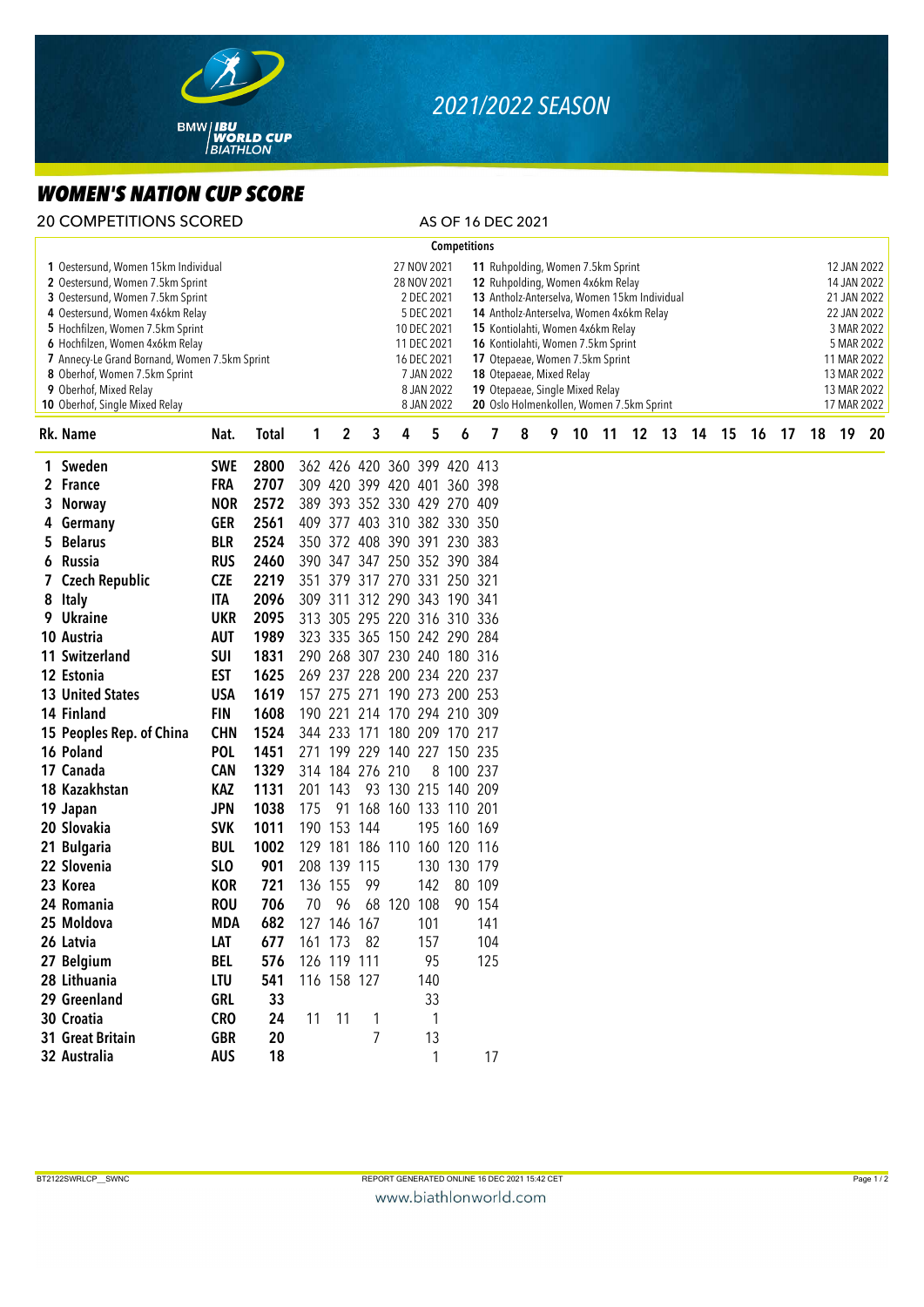

## *2021/2022 SEASON*

## *WOMEN'S NATION CUP SCORE*

| <b>20 COMPETITIONS SCORED</b>                                                                                                                                                                                                                                                                                                                                              |                   |              |                                                                                                                                                                                                                                                                                                                                                                                                                                                                                                                                             |                        |                 |                             |           |                     |            | AS OF 16 DEC 2021 |   |    |       |  |       |  |       |    |                                                                                                                                                  |    |    |    |
|----------------------------------------------------------------------------------------------------------------------------------------------------------------------------------------------------------------------------------------------------------------------------------------------------------------------------------------------------------------------------|-------------------|--------------|---------------------------------------------------------------------------------------------------------------------------------------------------------------------------------------------------------------------------------------------------------------------------------------------------------------------------------------------------------------------------------------------------------------------------------------------------------------------------------------------------------------------------------------------|------------------------|-----------------|-----------------------------|-----------|---------------------|------------|-------------------|---|----|-------|--|-------|--|-------|----|--------------------------------------------------------------------------------------------------------------------------------------------------|----|----|----|
|                                                                                                                                                                                                                                                                                                                                                                            |                   |              |                                                                                                                                                                                                                                                                                                                                                                                                                                                                                                                                             |                        |                 |                             |           | <b>Competitions</b> |            |                   |   |    |       |  |       |  |       |    |                                                                                                                                                  |    |    |    |
| 1 Oestersund, Women 15km Individual<br>2 Oestersund, Women 7.5km Sprint<br>3 Oestersund, Women 7.5km Sprint<br>4 Oestersund, Women 4x6km Relay<br>5 Hochfilzen, Women 7.5km Sprint<br>6 Hochfilzen, Women 4x6km Relay<br>7 Annecy-Le Grand Bornand, Women 7.5km Sprint<br>8 Oberhof, Women 7.5km Sprint<br>9 Oberhof, Mixed Relay<br><b>10</b> Oberhof, Single Mixed Relay |                   |              | 27 NOV 2021<br>11 Ruhpolding, Women 7.5km Sprint<br>28 NOV 2021<br>12 Ruhpolding, Women 4x6km Relay<br>2 DEC 2021<br>13 Antholz-Anterselva, Women 15km Individual<br>5 DEC 2021<br>14 Antholz-Anterselva, Women 4x6km Relay<br>10 DEC 2021<br>15 Kontiolahti, Women 4x6km Relay<br>11 DEC 2021<br>16 Kontiolahti, Women 7.5km Sprint<br>17 Otepaeae, Women 7.5km Sprint<br>16 DEC 2021<br>7 JAN 2022<br>18 Otepaeae, Mixed Relay<br>8 JAN 2022<br>19 Otepaeae, Single Mixed Relay<br>20 Oslo Holmenkollen, Women 7.5km Sprint<br>8 JAN 2022 |                        |                 |                             |           |                     |            |                   |   |    |       |  |       |  |       |    | 12 JAN 2022<br>14 JAN 2022<br>21 JAN 2022<br>22 JAN 2022<br>3 MAR 2022<br>5 MAR 2022<br>11 MAR 2022<br>13 MAR 2022<br>13 MAR 2022<br>17 MAR 2022 |    |    |    |
| Rk. Name                                                                                                                                                                                                                                                                                                                                                                   | Nat.              | <b>Total</b> | 1                                                                                                                                                                                                                                                                                                                                                                                                                                                                                                                                           | 2                      | 3               | 4                           | 5         | 6                   | 7          | 8                 | 9 | 10 | $-11$ |  | 12 13 |  | 14 15 | 16 | 17                                                                                                                                               | 18 | 19 | 20 |
| 1 Sweden                                                                                                                                                                                                                                                                                                                                                                   | <b>SWE</b>        | 2800         |                                                                                                                                                                                                                                                                                                                                                                                                                                                                                                                                             |                        |                 | 362 426 420 360 399 420 413 |           |                     |            |                   |   |    |       |  |       |  |       |    |                                                                                                                                                  |    |    |    |
| 2 France                                                                                                                                                                                                                                                                                                                                                                   | <b>FRA</b>        | 2707         |                                                                                                                                                                                                                                                                                                                                                                                                                                                                                                                                             |                        |                 | 309 420 399 420 401 360 398 |           |                     |            |                   |   |    |       |  |       |  |       |    |                                                                                                                                                  |    |    |    |
| 3 Norway                                                                                                                                                                                                                                                                                                                                                                   | <b>NOR</b>        | 2572         |                                                                                                                                                                                                                                                                                                                                                                                                                                                                                                                                             |                        |                 | 389 393 352 330 429 270 409 |           |                     |            |                   |   |    |       |  |       |  |       |    |                                                                                                                                                  |    |    |    |
| 4 Germany                                                                                                                                                                                                                                                                                                                                                                  | <b>GER</b>        | 2561         |                                                                                                                                                                                                                                                                                                                                                                                                                                                                                                                                             |                        |                 | 409 377 403 310 382 330 350 |           |                     |            |                   |   |    |       |  |       |  |       |    |                                                                                                                                                  |    |    |    |
| 5 Belarus                                                                                                                                                                                                                                                                                                                                                                  | <b>BLR</b>        | 2524         |                                                                                                                                                                                                                                                                                                                                                                                                                                                                                                                                             |                        |                 | 350 372 408 390 391 230 383 |           |                     |            |                   |   |    |       |  |       |  |       |    |                                                                                                                                                  |    |    |    |
| 6 Russia                                                                                                                                                                                                                                                                                                                                                                   | <b>RUS</b>        | 2460         |                                                                                                                                                                                                                                                                                                                                                                                                                                                                                                                                             |                        |                 | 390 347 347 250 352 390 384 |           |                     |            |                   |   |    |       |  |       |  |       |    |                                                                                                                                                  |    |    |    |
| 7 Czech Republic                                                                                                                                                                                                                                                                                                                                                           | <b>CZE</b>        | 2219         |                                                                                                                                                                                                                                                                                                                                                                                                                                                                                                                                             |                        |                 | 351 379 317 270 331 250 321 |           |                     |            |                   |   |    |       |  |       |  |       |    |                                                                                                                                                  |    |    |    |
| 8 Italy                                                                                                                                                                                                                                                                                                                                                                    | ITA               | 2096         |                                                                                                                                                                                                                                                                                                                                                                                                                                                                                                                                             |                        |                 | 309 311 312 290 343 190 341 |           |                     |            |                   |   |    |       |  |       |  |       |    |                                                                                                                                                  |    |    |    |
| 9 Ukraine                                                                                                                                                                                                                                                                                                                                                                  | <b>UKR</b>        | 2095         |                                                                                                                                                                                                                                                                                                                                                                                                                                                                                                                                             |                        |                 | 313 305 295 220 316 310 336 |           |                     |            |                   |   |    |       |  |       |  |       |    |                                                                                                                                                  |    |    |    |
| 10 Austria                                                                                                                                                                                                                                                                                                                                                                 | <b>AUT</b>        | 1989         |                                                                                                                                                                                                                                                                                                                                                                                                                                                                                                                                             |                        |                 | 323 335 365 150 242 290 284 |           |                     |            |                   |   |    |       |  |       |  |       |    |                                                                                                                                                  |    |    |    |
| 11 Switzerland                                                                                                                                                                                                                                                                                                                                                             | <b>SUI</b>        | 1831         |                                                                                                                                                                                                                                                                                                                                                                                                                                                                                                                                             |                        |                 | 290 268 307 230 240 180 316 |           |                     |            |                   |   |    |       |  |       |  |       |    |                                                                                                                                                  |    |    |    |
| 12 Estonia                                                                                                                                                                                                                                                                                                                                                                 | <b>EST</b>        | 1625         |                                                                                                                                                                                                                                                                                                                                                                                                                                                                                                                                             |                        |                 | 269 237 228 200 234 220 237 |           |                     |            |                   |   |    |       |  |       |  |       |    |                                                                                                                                                  |    |    |    |
| <b>13 United States</b>                                                                                                                                                                                                                                                                                                                                                    | <b>USA</b>        | 1619         |                                                                                                                                                                                                                                                                                                                                                                                                                                                                                                                                             |                        |                 | 157 275 271 190 273 200 253 |           |                     |            |                   |   |    |       |  |       |  |       |    |                                                                                                                                                  |    |    |    |
| 14 Finland                                                                                                                                                                                                                                                                                                                                                                 | <b>FIN</b>        | 1608         |                                                                                                                                                                                                                                                                                                                                                                                                                                                                                                                                             |                        |                 | 190 221 214 170 294 210 309 |           |                     |            |                   |   |    |       |  |       |  |       |    |                                                                                                                                                  |    |    |    |
| 15 Peoples Rep. of China                                                                                                                                                                                                                                                                                                                                                   | <b>CHN</b>        | 1524         |                                                                                                                                                                                                                                                                                                                                                                                                                                                                                                                                             |                        |                 | 344 233 171 180 209 170 217 |           |                     |            |                   |   |    |       |  |       |  |       |    |                                                                                                                                                  |    |    |    |
| 16 Poland                                                                                                                                                                                                                                                                                                                                                                  | <b>POL</b>        | 1451         |                                                                                                                                                                                                                                                                                                                                                                                                                                                                                                                                             |                        |                 | 271 199 229 140 227 150 235 |           |                     |            |                   |   |    |       |  |       |  |       |    |                                                                                                                                                  |    |    |    |
| 17 Canada                                                                                                                                                                                                                                                                                                                                                                  | <b>CAN</b>        | 1329         |                                                                                                                                                                                                                                                                                                                                                                                                                                                                                                                                             |                        | 314 184 276 210 |                             |           | 8 100 237           |            |                   |   |    |       |  |       |  |       |    |                                                                                                                                                  |    |    |    |
| 18 Kazakhstan                                                                                                                                                                                                                                                                                                                                                              | <b>KAZ</b>        | 1131         |                                                                                                                                                                                                                                                                                                                                                                                                                                                                                                                                             | 201 143                |                 | 93 130 215 140 209          |           |                     |            |                   |   |    |       |  |       |  |       |    |                                                                                                                                                  |    |    |    |
| 19 Japan                                                                                                                                                                                                                                                                                                                                                                   | <b>JPN</b>        | 1038         | 175                                                                                                                                                                                                                                                                                                                                                                                                                                                                                                                                         |                        |                 | 91 168 160 133 110 201      |           |                     |            |                   |   |    |       |  |       |  |       |    |                                                                                                                                                  |    |    |    |
| 20 Slovakia                                                                                                                                                                                                                                                                                                                                                                | <b>SVK</b>        | 1011         |                                                                                                                                                                                                                                                                                                                                                                                                                                                                                                                                             | 190 153 144            |                 |                             |           | 195 160 169         |            |                   |   |    |       |  |       |  |       |    |                                                                                                                                                  |    |    |    |
| 21 Bulgaria                                                                                                                                                                                                                                                                                                                                                                | <b>BUL</b>        | 1002         |                                                                                                                                                                                                                                                                                                                                                                                                                                                                                                                                             |                        |                 | 129 181 186 110 160 120 116 |           |                     |            |                   |   |    |       |  |       |  |       |    |                                                                                                                                                  |    |    |    |
| 22 Slovenia                                                                                                                                                                                                                                                                                                                                                                | <b>SLO</b>        | 901          |                                                                                                                                                                                                                                                                                                                                                                                                                                                                                                                                             | 208 139                | 115             |                             |           | 130 130 179         |            |                   |   |    |       |  |       |  |       |    |                                                                                                                                                  |    |    |    |
| 23 Korea                                                                                                                                                                                                                                                                                                                                                                   | <b>KOR</b>        | 721          |                                                                                                                                                                                                                                                                                                                                                                                                                                                                                                                                             | 136 155                | 99              |                             | 142       |                     | 80 109     |                   |   |    |       |  |       |  |       |    |                                                                                                                                                  |    |    |    |
| 24 Romania                                                                                                                                                                                                                                                                                                                                                                 | <b>ROU</b>        | 706          |                                                                                                                                                                                                                                                                                                                                                                                                                                                                                                                                             |                        |                 | 70 96 68 120 108            |           |                     | 90 154     |                   |   |    |       |  |       |  |       |    |                                                                                                                                                  |    |    |    |
| 25 Moldova<br>26 Latvia                                                                                                                                                                                                                                                                                                                                                    | <b>MDA</b>        | 682          |                                                                                                                                                                                                                                                                                                                                                                                                                                                                                                                                             | 127 146 167<br>161 173 |                 |                             | 101       |                     | 141        |                   |   |    |       |  |       |  |       |    |                                                                                                                                                  |    |    |    |
| 27 Belgium                                                                                                                                                                                                                                                                                                                                                                 | LAT<br><b>BEL</b> | 677<br>576   |                                                                                                                                                                                                                                                                                                                                                                                                                                                                                                                                             | 126 119 111            | 82              |                             | 157<br>95 |                     | 104<br>125 |                   |   |    |       |  |       |  |       |    |                                                                                                                                                  |    |    |    |
| 28 Lithuania                                                                                                                                                                                                                                                                                                                                                               | LTU               | 541          |                                                                                                                                                                                                                                                                                                                                                                                                                                                                                                                                             | 116 158 127            |                 |                             | 140       |                     |            |                   |   |    |       |  |       |  |       |    |                                                                                                                                                  |    |    |    |
| 29 Greenland                                                                                                                                                                                                                                                                                                                                                               | GRL               | 33           |                                                                                                                                                                                                                                                                                                                                                                                                                                                                                                                                             |                        |                 |                             | 33        |                     |            |                   |   |    |       |  |       |  |       |    |                                                                                                                                                  |    |    |    |
| 30 Croatia                                                                                                                                                                                                                                                                                                                                                                 | <b>CRO</b>        | 24           | 11                                                                                                                                                                                                                                                                                                                                                                                                                                                                                                                                          | 11                     | 1               |                             | 1         |                     |            |                   |   |    |       |  |       |  |       |    |                                                                                                                                                  |    |    |    |
| 31 Great Britain                                                                                                                                                                                                                                                                                                                                                           | <b>GBR</b>        | 20           |                                                                                                                                                                                                                                                                                                                                                                                                                                                                                                                                             |                        | $\overline{7}$  |                             | 13        |                     |            |                   |   |    |       |  |       |  |       |    |                                                                                                                                                  |    |    |    |
| 32 Australia                                                                                                                                                                                                                                                                                                                                                               | <b>AUS</b>        | 18           |                                                                                                                                                                                                                                                                                                                                                                                                                                                                                                                                             |                        |                 |                             | 1         |                     | 17         |                   |   |    |       |  |       |  |       |    |                                                                                                                                                  |    |    |    |
|                                                                                                                                                                                                                                                                                                                                                                            |                   |              |                                                                                                                                                                                                                                                                                                                                                                                                                                                                                                                                             |                        |                 |                             |           |                     |            |                   |   |    |       |  |       |  |       |    |                                                                                                                                                  |    |    |    |